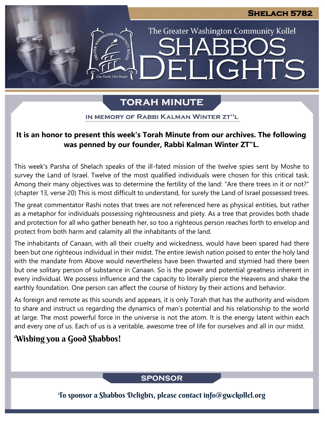The Greater Washington Community Kollel

LIGHTS

# **TORAH MINUTE**

EI

IN MEMORY OF RABBI KALMAN WINTER ZT"L

# **It is an honor to present this week's Torah Minute from our archives. The following was penned by our founder, Rabbi Kalman Winter ZT"L.**

This week's Parsha of Shelach speaks of the ill-fated mission of the twelve spies sent by Moshe to survey the Land of Israel. Twelve of the most qualified individuals were chosen for this critical task. Among their many objectives was to determine the fertility of the land: "Are there trees in it or not?" (chapter 13, verse 20) This is most difficult to understand, for surely the Land of Israel possessed trees.

The great commentator Rashi notes that trees are not referenced here as physical entities, but rather as a metaphor for individuals possessing righteousness and piety. As a tree that provides both shade and protection for all who gather beneath her, so too a righteous person reaches forth to envelop and protect from both harm and calamity all the inhabitants of the land.

The inhabitants of Canaan, with all their cruelty and wickedness, would have been spared had there been but one righteous individual in their midst. The entire Jewish nation poised to enter the holy land with the mandate from Above would nevertheless have been thwarted and stymied had there been but one solitary person of substance in Canaan. So is the power and potential greatness inherent in every individual. We possess influence and the capacity to literally pierce the Heavens and shake the earthly foundation. One person can affect the course of history by their actions and behavior.

As foreign and remote as this sounds and appears, it is only Torah that has the authority and wisdom to share and instruct us regarding the dynamics of man's potential and his relationship to the world at large. The most powerful force in the universe is not the atom. It is the energy latent within each and every one of us. Each of us is a veritable, awesome tree of life for ourselves and all in our midst.

# Wishing you a Good Shabbos!

## **SPONSOR**

To sponsor a Shabbos Delights, please contact info@gwckollel.org